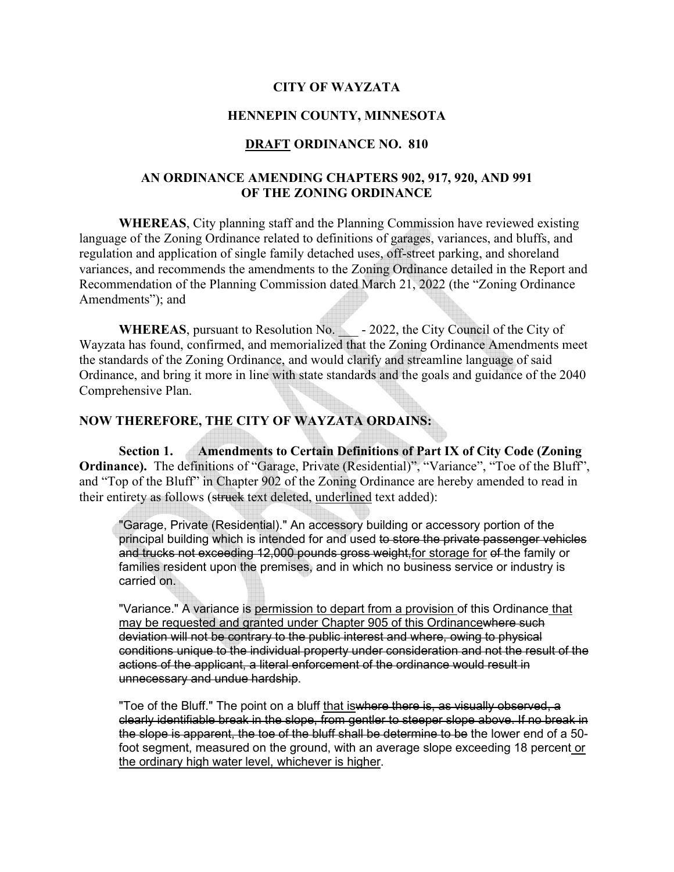# **CITY OF WAYZATA**

### **HENNEPIN COUNTY, MINNESOTA**

#### **DRAFT ORDINANCE NO. 810**

### **AN ORDINANCE AMENDING CHAPTERS 902, 917, 920, AND 991 OF THE ZONING ORDINANCE**

**WHEREAS**, City planning staff and the Planning Commission have reviewed existing language of the Zoning Ordinance related to definitions of garages, variances, and bluffs, and regulation and application of single family detached uses, off-street parking, and shoreland variances, and recommends the amendments to the Zoning Ordinance detailed in the Report and Recommendation of the Planning Commission dated March 21, 2022 (the "Zoning Ordinance Amendments"); and

**WHEREAS**, pursuant to Resolution No.  $\qquad$  - 2022, the City Council of the City of Wayzata has found, confirmed, and memorialized that the Zoning Ordinance Amendments meet the standards of the Zoning Ordinance, and would clarify and streamline language of said Ordinance, and bring it more in line with state standards and the goals and guidance of the 2040 Comprehensive Plan.

# **NOW THEREFORE, THE CITY OF WAYZATA ORDAINS:**

**Section 1. Amendments to Certain Definitions of Part IX of City Code (Zoning Ordinance).** The definitions of "Garage, Private (Residential)", "Variance", "Toe of the Bluff", and "Top of the Bluff" in Chapter 902 of the Zoning Ordinance are hereby amended to read in their entirety as follows (struck text deleted, underlined text added):

"Garage, Private (Residential)." An accessory building or accessory portion of the principal building which is intended for and used to store the private passenger vehicles and trucks not exceeding 12,000 pounds gross weight,for storage for of the family or families resident upon the premises, and in which no business service or industry is carried on.

"Variance." A variance is permission to depart from a provision of this Ordinance that may be requested and granted under Chapter 905 of this Ordinancewhere such deviation will not be contrary to the public interest and where, owing to physical conditions unique to the individual property under consideration and not the result of the actions of the applicant, a literal enforcement of the ordinance would result in unnecessary and undue hardship.

"Toe of the Bluff." The point on a bluff that is where there is, as visually observed, a clearly identifiable break in the slope, from gentler to steeper slope above. If no break in the slope is apparent, the toe of the bluff shall be determine to be the lower end of a 50 foot segment, measured on the ground, with an average slope exceeding 18 percent or the ordinary high water level, whichever is higher.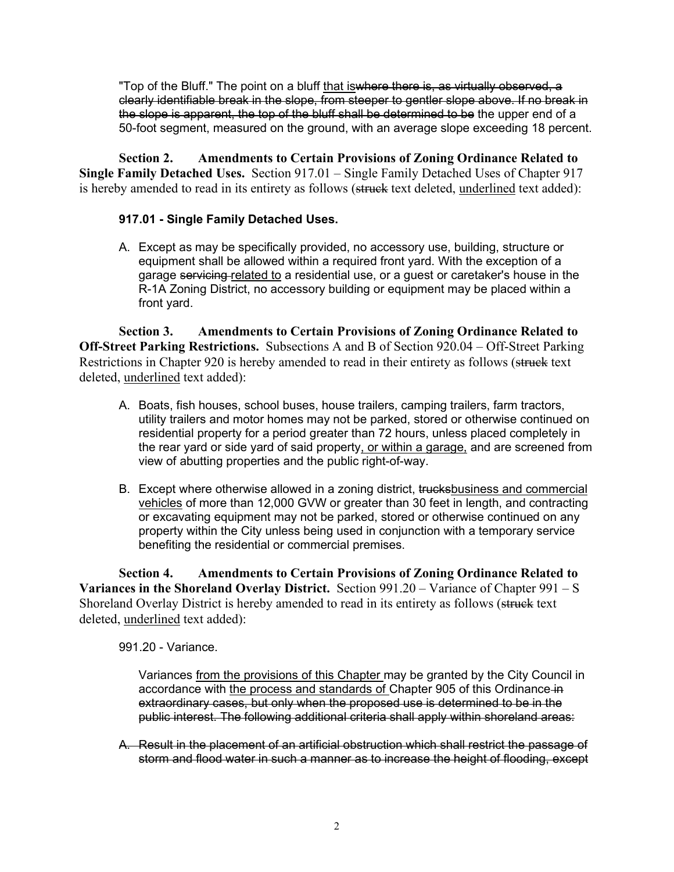"Top of the Bluff." The point on a bluff that iswhere there is, as virtually observed, a clearly identifiable break in the slope, from steeper to gentler slope above. If no break in the slope is apparent, the top of the bluff shall be determined to be the upper end of a 50-foot segment, measured on the ground, with an average slope exceeding 18 percent.

**Section 2. Amendments to Certain Provisions of Zoning Ordinance Related to Single Family Detached Uses.** Section 917.01 – Single Family Detached Uses of Chapter 917 is hereby amended to read in its entirety as follows (struck text deleted, underlined text added):

# **917.01 - Single Family Detached Uses.**

A. Except as may be specifically provided, no accessory use, building, structure or equipment shall be allowed within a required front yard. With the exception of a garage servicing related to a residential use, or a guest or caretaker's house in the R-1A Zoning District, no accessory building or equipment may be placed within a front yard.

**Section 3. Amendments to Certain Provisions of Zoning Ordinance Related to Off-Street Parking Restrictions.** Subsections A and B of Section 920.04 – Off-Street Parking Restrictions in Chapter 920 is hereby amended to read in their entirety as follows (struck text deleted, underlined text added):

- A. Boats, fish houses, school buses, house trailers, camping trailers, farm tractors, utility trailers and motor homes may not be parked, stored or otherwise continued on residential property for a period greater than 72 hours, unless placed completely in the rear yard or side yard of said property, or within a garage, and are screened from view of abutting properties and the public right-of-way.
- B. Except where otherwise allowed in a zoning district, trucksbusiness and commercial vehicles of more than 12,000 GVW or greater than 30 feet in length, and contracting or excavating equipment may not be parked, stored or otherwise continued on any property within the City unless being used in conjunction with a temporary service benefiting the residential or commercial premises.

**Section 4. Amendments to Certain Provisions of Zoning Ordinance Related to Variances in the Shoreland Overlay District.** Section 991.20 – Variance of Chapter 991 – S Shoreland Overlay District is hereby amended to read in its entirety as follows (struck text deleted, underlined text added):

991.20 - Variance.

Variances from the provisions of this Chapter may be granted by the City Council in accordance with the process and standards of Chapter 905 of this Ordinance in extraordinary cases, but only when the proposed use is determined to be in the public interest. The following additional criteria shall apply within shoreland areas:

A. Result in the placement of an artificial obstruction which shall restrict the passage of storm and flood water in such a manner as to increase the height of flooding, except